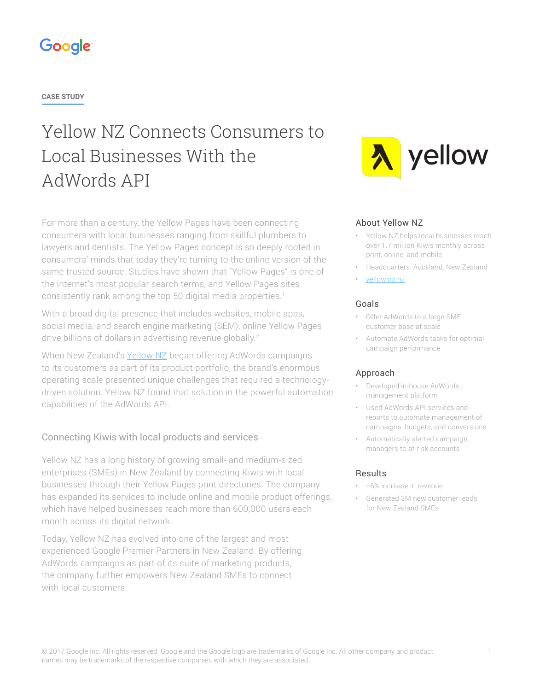

**CASE STUDY**

# Yellow NZ Connects Consumers to Local Businesses With the AdWords API

For more than a century, the Yellow Pages have been connecting consumers with local businesses ranging from skillful plumbers to lawyers and dentists. The Yellow Pages concept is so deeply rooted in consumers' minds that today they're turning to the online version of the same trusted source. Studies have shown that "Yellow Pages" is one of the internet's most popular search terms, and Yellow Pages sites consistently rank among the top 50 digital media properties.1

With a broad digital presence that includes websites, mobile apps, social media, and search engine marketing (SEM), online Yellow Pages drive billions of dollars in advertising revenue globally.<sup>2</sup>

When New Zealand's [Yellow NZ](https://yellow.co.nz/) began offering AdWords campaigns to its customers as part of its product portfolio, the brand's enormous operating scale presented unique challenges that required a technologydriven solution. Yellow NZ found that solution in the powerful automation capabilities of the AdWords API.

# Connecting Kiwis with local products and services

Yellow NZ has a long history of growing small- and medium-sized enterprises (SMEs) in New Zealand by connecting Kiwis with local businesses through their Yellow Pages print directories. The company has expanded its services to include online and mobile product offerings, which have helped businesses reach more than 600,000 users each month across its digital network.

Today, Yellow NZ has evolved into one of the largest and most experienced Google Premier Partners in New Zealand. By offering AdWords campaigns as part of its suite of marketing products, the company further empowers New Zealand SMEs to connect with local customers.



### About Yellow NZ

- Yellow NZ helps local businesses reach over 1.7 million Kiwis monthly across print, online, and mobile.
- Headquarters: Auckland, New Zealand
- [yellow.co.nz](https://yellow.co.nz/)

### Goals

- Offer AdWords to a large SME customer base at scale
- Automate AdWords tasks for optimal campaign performance

### Approach

- Developed in-house AdWords management platform
- Used AdWords API services and reports to automate management of campaigns, budgets, and conversions
- Automatically alerted campaign managers to at-risk accounts

### Results

- +6% increase in revenue
- Generated 3M new customer leads for New Zealand SMEs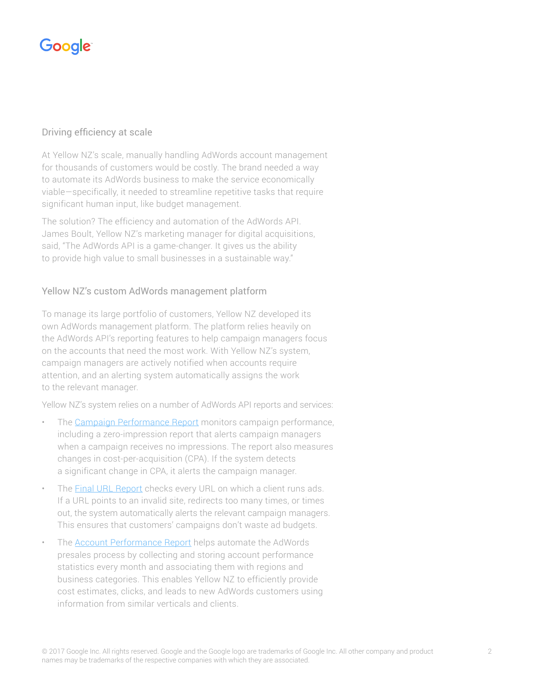# Google

## Driving efficiency at scale

At Yellow NZ's scale, manually handling AdWords account management for thousands of customers would be costly. The brand needed a way to automate its AdWords business to make the service economically viable—specifically, it needed to streamline repetitive tasks that require significant human input, like budget management.

The solution? The efficiency and automation of the AdWords API. James Boult, Yellow NZ's marketing manager for digital acquisitions, said, "The AdWords API is a game-changer. It gives us the ability to provide high value to small businesses in a sustainable way."

## Yellow NZ's custom AdWords management platform

To manage its large portfolio of customers, Yellow NZ developed its own AdWords management platform. The platform relies heavily on the AdWords API's reporting features to help campaign managers focus on the accounts that need the most work. With Yellow NZ's system, campaign managers are actively notified when accounts require attention, and an alerting system automatically assigns the work to the relevant manager.

Yellow NZ's system relies on a number of AdWords API reports and services:

- The [Campaign Performance Report](https://developers.google.com/adwords/api/docs/appendix/reports#campaign) monitors campaign performance, including a zero-impression report that alerts campaign managers when a campaign receives no impressions. The report also measures changes in cost-per-acquisition (CPA). If the system detects a significant change in CPA, it alerts the campaign manager.
- The **[Final URL Report](https://developers.google.com/adwords/api/docs/appendix/reports#final-url)** checks every URL on which a client runs ads. If a URL points to an invalid site, redirects too many times, or times out, the system automatically alerts the relevant campaign managers. This ensures that customers' campaigns don't waste ad budgets.
- The **[Account Performance Report](https://developers.google.com/adwords/api/docs/appendix/reports/account-performance-report)** helps automate the AdWords presales process by collecting and storing account performance statistics every month and associating them with regions and business categories. This enables Yellow NZ to efficiently provide cost estimates, clicks, and leads to new AdWords customers using information from similar verticals and clients.